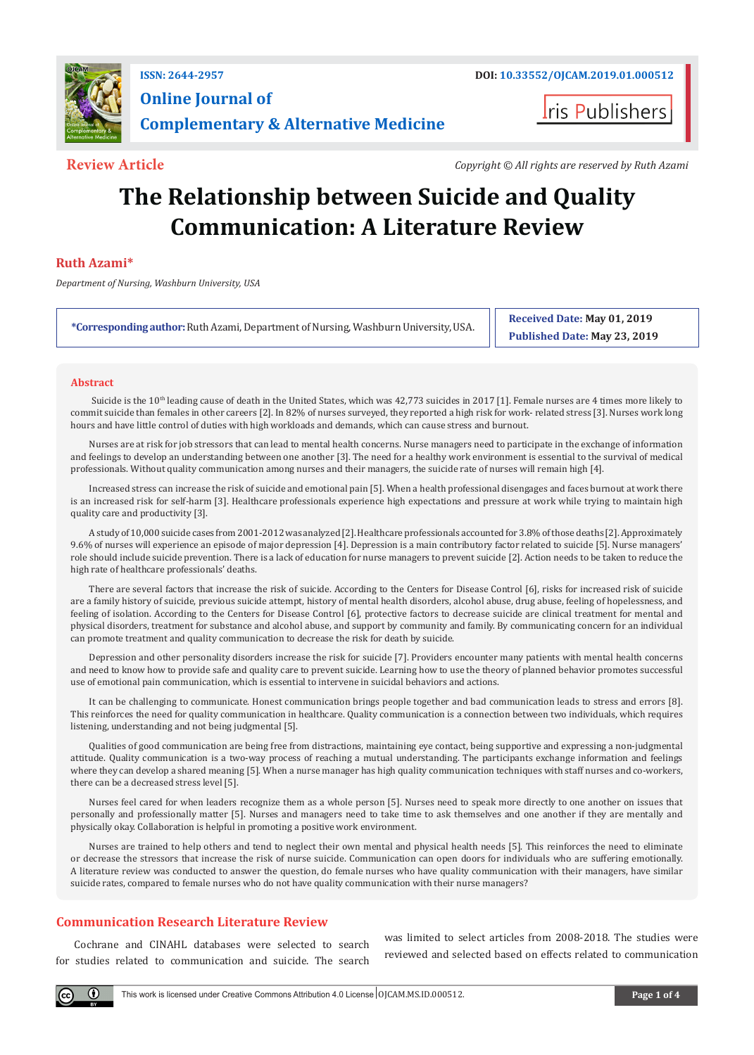

# **Online Journal of Complementary & Alternative Medicine**

ris Publishers

**Review Article** *Copyright © All rights are reserved by Ruth Azami*

# **The Relationship between Suicide and Quality Communication: A Literature Review**

## **Ruth Azami\***

*Department of Nursing, Washburn University, USA*

**\*Corresponding author:** Ruth Azami, Department of Nursing, Washburn University, USA.

**Received Date: May 01, 2019 Published Date: May 23, 2019**

#### **Abstract**

Suicide is the 10<sup>th</sup> leading cause of death in the United States, which was 42,773 suicides in 2017 [1]. Female nurses are 4 times more likely to commit suicide than females in other careers [2]. In 82% of nurses surveyed, they reported a high risk for work- related stress [3]. Nurses work long hours and have little control of duties with high workloads and demands, which can cause stress and burnout.

Nurses are at risk for job stressors that can lead to mental health concerns. Nurse managers need to participate in the exchange of information and feelings to develop an understanding between one another [3]. The need for a healthy work environment is essential to the survival of medical professionals. Without quality communication among nurses and their managers, the suicide rate of nurses will remain high [4].

Increased stress can increase the risk of suicide and emotional pain [5]. When a health professional disengages and faces burnout at work there is an increased risk for self-harm [3]. Healthcare professionals experience high expectations and pressure at work while trying to maintain high quality care and productivity [3].

A study of 10,000 suicide cases from 2001-2012 was analyzed [2]. Healthcare professionals accounted for 3.8% of those deaths [2]. Approximately 9.6% of nurses will experience an episode of major depression [4]. Depression is a main contributory factor related to suicide [5]. Nurse managers' role should include suicide prevention. There is a lack of education for nurse managers to prevent suicide [2]. Action needs to be taken to reduce the high rate of healthcare professionals' deaths.

There are several factors that increase the risk of suicide. According to the Centers for Disease Control [6], risks for increased risk of suicide are a family history of suicide, previous suicide attempt, history of mental health disorders, alcohol abuse, drug abuse, feeling of hopelessness, and feeling of isolation. According to the Centers for Disease Control [6], protective factors to decrease suicide are clinical treatment for mental and physical disorders, treatment for substance and alcohol abuse, and support by community and family. By communicating concern for an individual can promote treatment and quality communication to decrease the risk for death by suicide.

Depression and other personality disorders increase the risk for suicide [7]. Providers encounter many patients with mental health concerns and need to know how to provide safe and quality care to prevent suicide. Learning how to use the theory of planned behavior promotes successful use of emotional pain communication, which is essential to intervene in suicidal behaviors and actions.

It can be challenging to communicate. Honest communication brings people together and bad communication leads to stress and errors [8]. This reinforces the need for quality communication in healthcare. Quality communication is a connection between two individuals, which requires listening, understanding and not being judgmental [5].

Qualities of good communication are being free from distractions, maintaining eye contact, being supportive and expressing a non-judgmental attitude. Quality communication is a two-way process of reaching a mutual understanding. The participants exchange information and feelings where they can develop a shared meaning [5]. When a nurse manager has high quality communication techniques with staff nurses and co-workers, there can be a decreased stress level [5].

Nurses feel cared for when leaders recognize them as a whole person [5]. Nurses need to speak more directly to one another on issues that personally and professionally matter [5]. Nurses and managers need to take time to ask themselves and one another if they are mentally and physically okay. Collaboration is helpful in promoting a positive work environment.

Nurses are trained to help others and tend to neglect their own mental and physical health needs [5]. This reinforces the need to eliminate or decrease the stressors that increase the risk of nurse suicide. Communication can open doors for individuals who are suffering emotionally. A literature review was conducted to answer the question, do female nurses who have quality communication with their managers, have similar suicide rates, compared to female nurses who do not have quality communication with their nurse managers?

## **Communication Research Literature Review**

 $(\cdot)$ 

Cochrane and CINAHL databases were selected to search for studies related to communication and suicide. The search was limited to select articles from 2008-2018. The studies were reviewed and selected based on effects related to communication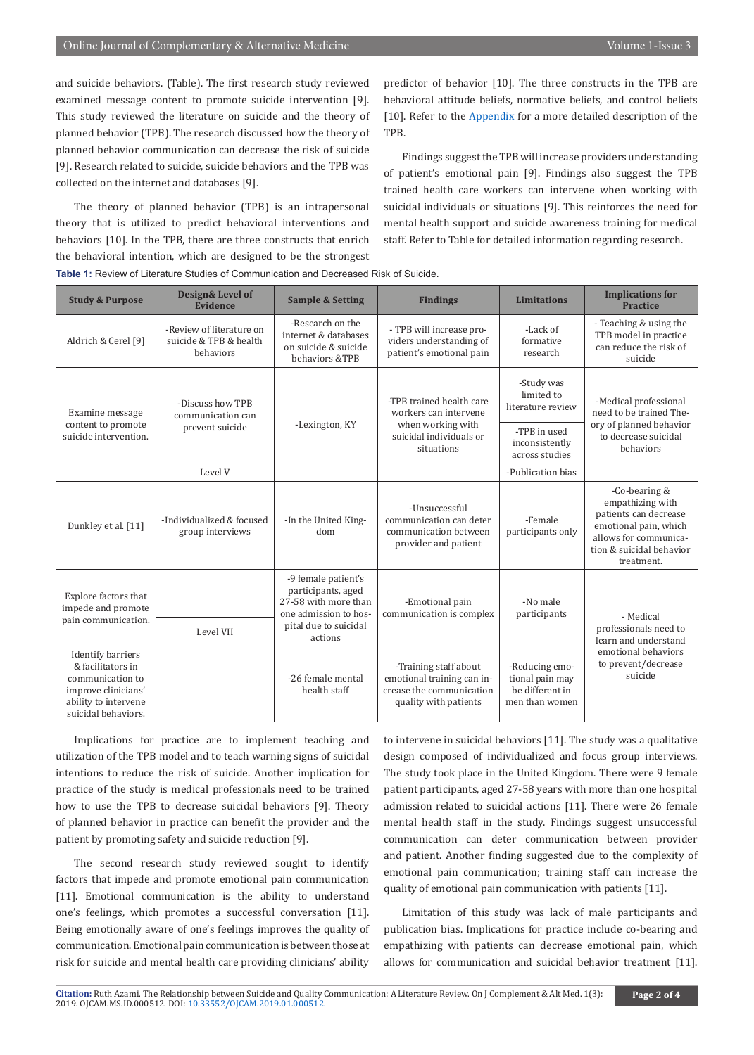and suicide behaviors. (Table). The first research study reviewed examined message content to promote suicide intervention [9]. This study reviewed the literature on suicide and the theory of planned behavior (TPB). The research discussed how the theory of planned behavior communication can decrease the risk of suicide [9]. Research related to suicide, suicide behaviors and the TPB was collected on the internet and databases [9].

The theory of planned behavior (TPB) is an intrapersonal theory that is utilized to predict behavioral interventions and behaviors [10]. In the TPB, there are three constructs that enrich the behavioral intention, which are designed to be the strongest **Table 1:** Review of Literature Studies of Communication and Decreased Risk of Suicide.

predictor of behavior [10]. The three constructs in the TPB are behavioral attitude beliefs, normative beliefs, and control beliefs [10]. Refer to the [Appendix](https://irispublishers.com/ojcam/pdf/OJCAM.MS.ID.000512.Appendix.pdf) for a more detailed description of the TPB.

Findings suggest the TPB will increase providers understanding of patient's emotional pain [9]. Findings also suggest the TPB trained health care workers can intervene when working with suicidal individuals or situations [9]. This reinforces the need for mental health support and suicide awareness training for medical staff. Refer to Table for detailed information regarding research.

| <b>Study &amp; Purpose</b>                                                                                                              | Design& Level of<br><b>Evidence</b>                             | <b>Sample &amp; Setting</b>                                                                | <b>Findings</b>                                                                                                 | <b>Limitations</b>                                                     | <b>Implications for</b><br><b>Practice</b>                                                                                                               |
|-----------------------------------------------------------------------------------------------------------------------------------------|-----------------------------------------------------------------|--------------------------------------------------------------------------------------------|-----------------------------------------------------------------------------------------------------------------|------------------------------------------------------------------------|----------------------------------------------------------------------------------------------------------------------------------------------------------|
| Aldrich & Cerel [9]                                                                                                                     | -Review of literature on<br>suicide & TPB & health<br>behaviors | -Research on the<br>internet & databases<br>on suicide & suicide<br>behaviors &TPB         | - TPB will increase pro-<br>viders understanding of<br>patient's emotional pain                                 | -Lack of<br>formative<br>research                                      | - Teaching & using the<br>TPB model in practice<br>can reduce the risk of<br>suicide                                                                     |
| Examine message<br>content to promote<br>suicide intervention.                                                                          | -Discuss how TPB<br>communication can<br>prevent suicide        | -Lexington, KY                                                                             | -TPB trained health care<br>workers can intervene<br>when working with<br>suicidal individuals or<br>situations | -Study was<br>limited to<br>literature review                          | -Medical professional<br>need to be trained The-<br>ory of planned behavior<br>to decrease suicidal<br>behaviors                                         |
|                                                                                                                                         |                                                                 |                                                                                            |                                                                                                                 | -TPB in used<br>inconsistently<br>across studies                       |                                                                                                                                                          |
|                                                                                                                                         | Level V                                                         |                                                                                            |                                                                                                                 | -Publication bias                                                      |                                                                                                                                                          |
| Dunkley et al. [11]                                                                                                                     | -Individualized & focused<br>group interviews                   | -In the United King-<br>dom                                                                | -Unsuccessful<br>communication can deter<br>communication between<br>provider and patient                       | -Female<br>participants only                                           | -Co-bearing $&$<br>empathizing with<br>patients can decrease<br>emotional pain, which<br>allows for communica-<br>tion & suicidal behavior<br>treatment. |
| Explore factors that<br>impede and promote<br>pain communication.                                                                       |                                                                 | -9 female patient's<br>participants, aged<br>27-58 with more than<br>one admission to hos- | -Emotional pain<br>communication is complex                                                                     | -No male<br>participants                                               | - Medical<br>professionals need to<br>learn and understand<br>emotional behaviors<br>to prevent/decrease<br>suicide                                      |
|                                                                                                                                         | Level VII                                                       | pital due to suicidal<br>actions                                                           |                                                                                                                 |                                                                        |                                                                                                                                                          |
| <b>Identify barriers</b><br>& facilitators in<br>communication to<br>improve clinicians'<br>ability to intervene<br>suicidal behaviors. |                                                                 | -26 female mental<br>health staff                                                          | -Training staff about<br>emotional training can in-<br>crease the communication<br>quality with patients        | -Reducing emo-<br>tional pain may<br>he different in<br>men than women |                                                                                                                                                          |

Implications for practice are to implement teaching and utilization of the TPB model and to teach warning signs of suicidal intentions to reduce the risk of suicide. Another implication for practice of the study is medical professionals need to be trained how to use the TPB to decrease suicidal behaviors [9]. Theory of planned behavior in practice can benefit the provider and the patient by promoting safety and suicide reduction [9].

The second research study reviewed sought to identify factors that impede and promote emotional pain communication [11]. Emotional communication is the ability to understand one's feelings, which promotes a successful conversation [11]. Being emotionally aware of one's feelings improves the quality of communication. Emotional pain communication is between those at risk for suicide and mental health care providing clinicians' ability

to intervene in suicidal behaviors [11]. The study was a qualitative design composed of individualized and focus group interviews. The study took place in the United Kingdom. There were 9 female patient participants, aged 27-58 years with more than one hospital admission related to suicidal actions [11]. There were 26 female mental health staff in the study. Findings suggest unsuccessful communication can deter communication between provider and patient. Another finding suggested due to the complexity of emotional pain communication; training staff can increase the quality of emotional pain communication with patients [11].

Limitation of this study was lack of male participants and publication bias. Implications for practice include co-bearing and empathizing with patients can decrease emotional pain, which allows for communication and suicidal behavior treatment [11].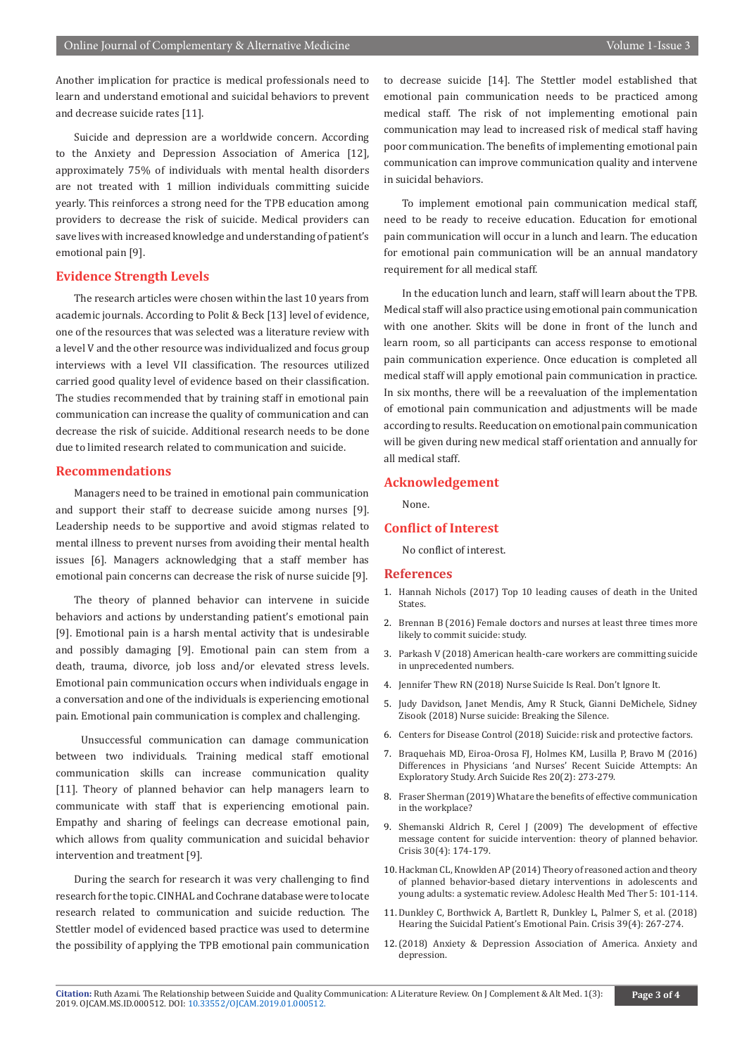Another implication for practice is medical professionals need to learn and understand emotional and suicidal behaviors to prevent and decrease suicide rates [11].

Suicide and depression are a worldwide concern. According to the Anxiety and Depression Association of America [12], approximately 75% of individuals with mental health disorders are not treated with 1 million individuals committing suicide yearly. This reinforces a strong need for the TPB education among providers to decrease the risk of suicide. Medical providers can save lives with increased knowledge and understanding of patient's emotional pain [9].

#### **Evidence Strength Levels**

The research articles were chosen within the last 10 years from academic journals. According to Polit & Beck [13] level of evidence, one of the resources that was selected was a literature review with a level V and the other resource was individualized and focus group interviews with a level VII classification. The resources utilized carried good quality level of evidence based on their classification. The studies recommended that by training staff in emotional pain communication can increase the quality of communication and can decrease the risk of suicide. Additional research needs to be done due to limited research related to communication and suicide.

#### **Recommendations**

Managers need to be trained in emotional pain communication and support their staff to decrease suicide among nurses [9]. Leadership needs to be supportive and avoid stigmas related to mental illness to prevent nurses from avoiding their mental health issues [6]. Managers acknowledging that a staff member has emotional pain concerns can decrease the risk of nurse suicide [9].

The theory of planned behavior can intervene in suicide behaviors and actions by understanding patient's emotional pain [9]. Emotional pain is a harsh mental activity that is undesirable and possibly damaging [9]. Emotional pain can stem from a death, trauma, divorce, job loss and/or elevated stress levels. Emotional pain communication occurs when individuals engage in a conversation and one of the individuals is experiencing emotional pain. Emotional pain communication is complex and challenging.

 Unsuccessful communication can damage communication between two individuals. Training medical staff emotional communication skills can increase communication quality [11]. Theory of planned behavior can help managers learn to communicate with staff that is experiencing emotional pain. Empathy and sharing of feelings can decrease emotional pain, which allows from quality communication and suicidal behavior intervention and treatment [9].

During the search for research it was very challenging to find research for the topic. CINHAL and Cochrane database were to locate research related to communication and suicide reduction. The Stettler model of evidenced based practice was used to determine the possibility of applying the TPB emotional pain communication

to decrease suicide [14]. The Stettler model established that emotional pain communication needs to be practiced among medical staff. The risk of not implementing emotional pain communication may lead to increased risk of medical staff having poor communication. The benefits of implementing emotional pain communication can improve communication quality and intervene in suicidal behaviors.

To implement emotional pain communication medical staff, need to be ready to receive education. Education for emotional pain communication will occur in a lunch and learn. The education for emotional pain communication will be an annual mandatory requirement for all medical staff.

In the education lunch and learn, staff will learn about the TPB. Medical staff will also practice using emotional pain communication with one another. Skits will be done in front of the lunch and learn room, so all participants can access response to emotional pain communication experience. Once education is completed all medical staff will apply emotional pain communication in practice. In six months, there will be a reevaluation of the implementation of emotional pain communication and adjustments will be made according to results. Reeducation on emotional pain communication will be given during new medical staff orientation and annually for all medical staff.

#### **Acknowledgement**

None.

### **Conflict of Interest**

No conflict of interest.

#### **References**

- 1. Hannah Nichols (2017) Top 10 leading causes of death in the United **States**
- 2. Brennan B (2016) Female doctors and nurses at least three times more likely to commit suicide: study.
- 3. Parkash V (2018) American health-care workers are committing suicide in unprecedented numbers.
- 4. Jennifer Thew RN (2018) Nurse Suicide Is Real. Don't Ignore It.
- 5. Judy Davidson, Janet Mendis, Amy R Stuck, Gianni DeMichele, Sidney Zisook (2018) Nurse suicide: Breaking the Silence.
- 6. Centers for Disease Control (2018) Suicide: risk and protective factors.
- 7. [Braquehais MD, Eiroa-Orosa FJ, Holmes KM, Lusilla P, Bravo M \(2016\)](https://www.ncbi.nlm.nih.gov/pubmed/25517040)  [Differences in Physicians 'and Nurses' Recent Suicide Attempts: An](https://www.ncbi.nlm.nih.gov/pubmed/25517040)  [Exploratory Study. Arch Suicide Res 20\(2\): 273-279.](https://www.ncbi.nlm.nih.gov/pubmed/25517040)
- 8. Fraser Sherman (2019) What are the benefits of effective communication in the workplace?
- 9. [Shemanski Aldrich R, Cerel J \(2009\) The development of effective](https://www.ncbi.nlm.nih.gov/pubmed/19933062)  [message content for suicide intervention: theory of planned behavior.](https://www.ncbi.nlm.nih.gov/pubmed/19933062)  [Crisis 30\(4\): 174-179.](https://www.ncbi.nlm.nih.gov/pubmed/19933062)
- 10. [Hackman CL, Knowlden AP \(2014\) Theory of reasoned action and theory](https://www.ncbi.nlm.nih.gov/pubmed/24966710)  [of planned behavior-based dietary interventions in adolescents and](https://www.ncbi.nlm.nih.gov/pubmed/24966710)  [young adults: a systematic review. Adolesc Health Med Ther 5: 101-114.](https://www.ncbi.nlm.nih.gov/pubmed/24966710)
- 11. [Dunkley C, Borthwick A, Bartlett R, Dunkley L, Palmer S, et al. \(2018\)](https://www.ncbi.nlm.nih.gov/pubmed/29256270)  [Hearing the Suicidal Patient's Emotional Pain. Crisis 39\(4\): 267-274.](https://www.ncbi.nlm.nih.gov/pubmed/29256270)
- 12.(2018) Anxiety & Depression Association of America. Anxiety and depression.